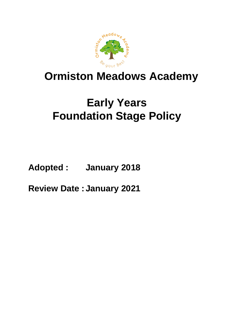

## **Ormiston Meadows Academy**

# **Early Years Foundation Stage Policy**

**Adopted : January 2018**

**Review Date : January 2021**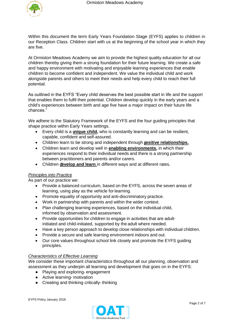

Within this document the term Early Years Foundation Stage (EYFS) applies to children in our Reception Class. Children start with us at the beginning of the school year in which they are five.

At Ormiston Meadows Academy we aim to provide the highest quality education for all our children thereby giving them a strong foundation for their future learning. We create a safe and happy environment with motivating and enjoyable learning experiences that enable children to become confident and independent. We value the individual child and work alongside parents and others to meet their needs and help every child to reach their full potential.

As outlined in the EYFS "Every child deserves the best possible start in life and the support that enables them to fulfil their potential. Children develop quickly in the early years and a child's experiences between birth and age five have a major impact on their future life chances."

We adhere to the Statutory Framework of the EYFS and the four guiding principles that shape practice within Early Years settings.

- Every child is a **unique child,** who is constantly learning and can be resilient, capable, confident and self-assured.
- Children learn to be strong and independent through **positive relationships.**
- Children learn and develop well in **enabling environments,** in which their experiences respond to their individual needs and there is a strong partnership between practitioners and parents and/or carers.
- Children **develop and learn** in different ways and at different rates.

## *Principles into Practice*

As part of our practice we:

- Provide a balanced curriculum, based on the EYFS, across the seven areas of learning, using play as the vehicle for learning.
- Promote equality of opportunity and anti-discriminatory practice.
- Work in partnership with parents and within the wider context.
- Plan challenging learning experiences, based on the individual child, informed by observation and assessment.
- Provide opportunities for children to engage in activities that are adultinitiated and child-initiated, supported by the adult where needed.
- Have a key person approach to develop close relationships with individual children.
- Provide a secure and safe learning environment indoors and out.
- Our core values throughout school link closely and promote the EYFS guiding principles.

## *Characteristics of Effective Learning*

We consider these important characteristics throughout all our planning, observation and assessment as they underpin all learning and development that goes on in the EYFS:

- Playing and exploring-engagement
- Active learning- motivation
- Creating and thinking critically-thinking

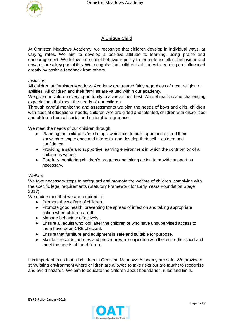

## **A Unique Child**

At Ormiston Meadows Academy, we recognise that children develop in individual ways, at varying rates. We aim to develop a positive attitude to learning, using praise and encouragement. We follow the school behaviour policy to promote excellent behaviour and rewards are a key part of this. We recognise that children's attitudes to learning are influenced greatly by positive feedback from others.

## *Inclusion*

All children at Ormiston Meadows Academy are treated fairly regardless of race, religion or abilities. All children and their families are valued within our academy.

We give our children every opportunity to achieve their best. We set realistic and challenging expectations that meet the needs of our children.

Through careful monitoring and assessments we plan the needs of boys and girls, children with special educational needs, children who are gifted and talented, children with disabilities and children from all social and culturalbackgrounds.

We meet the needs of our children through:

- Planning the children's 'next steps' which aim to build upon and extend their knowledge, experience and interests, and develop their self – esteem and confidence.
- Providing a safe and supportive learning environment in which the contribution of all children is valued.
- Carefully monitoring children's progress and taking action to provide support as necessary.

## *Welfare*

We take necessary steps to safeguard and promote the welfare of children, complying with the specific legal requirements (Statutory Framework for Early Years Foundation Stage 2017).

We understand that we are required to:

- Promote the welfare of children.
- Promote good health, preventing the spread of infection and taking appropriate action when children are ill.
- Manage behaviour effectively.
- Ensure all adults who look after the children or who have unsupervised access to them have been CRB checked.
- Ensure that furniture and equipment is safe and suitable for purpose.
- Maintain records, policies and procedures, in conjunction with the rest of the school and meet the needs of thechildren.

It is important to us that all children in Ormiston Meadows Academy are safe. We provide a stimulating environment where children are allowed to take risks but are taught to recognise and avoid hazards. We aim to educate the children about boundaries, rules and limits.

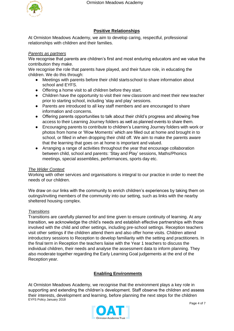

## **Positive Relationships**

At Ormiston Meadows Academy, we aim to develop caring, respectful, professional relationships with children and their families.

## *Parents as partners*

We recognise that parents are children's first and most enduring educators and we value the contribution they make.

We recognise the role that parents have played, and their future role, in educating the children. We do this through:

- Meetings with parents before their child startsschool to share information about school and EYFS.
- Offering a home visit to all children before they start.
- Children have the opportunity to visit their new classroom and meet their new teacher prior to starting school, including 'stay and play' sessions.
- Parents are introduced to all key staff members and are encouraged to share information and concerns.
- Offering parents opportunities to talk about their child's progress and allowing free access to their Learning Journey folders as well as planned events to share them.
- Encouraging parents to contribute to children's Learning Journey folders with work or photos from home or 'Wow Moments' which are filled out at home and brought in to school, or filled in when dropping their child off. We aim to make the parents aware that the learning that goes on at home is important and valued.
- Arranging a range of activities throughout the year that encourage collaboration between child, school and parents: 'Stay and Play' sessions, Maths/Phonics meetings, special assemblies, performances, sports day etc.

## *The Wider Context*

Working with other services and organisations is integral to our practice in order to meet the needs of our children.

We draw on our links with the community to enrich children's experiences by taking them on outings/inviting members of the community into our setting, such as links with the nearby sheltered housing complex.

## *Transitions*

Transitions are carefully planned for and time given to ensure continuity of learning. At any transition, we acknowledge the child's needs and establish effective partnerships with those involved with the child and other settings, including pre-school settings. Reception teachers visit other settings if the children attend them and also offer home visits. Children attend introductory sessions to Reception to develop familiarity with the setting and practitioners. In the final term in Reception the teachers liaise with the Year 1 teachers to discuss the individual children, their needs and analyse the assessment data to inform planning. They also moderate together regarding the Early Learning Goal judgements at the end of the Reception year.

## **Enabling Environments**

EYFS Policy January 2018 At Ormiston Meadows Academy, we recognise that the environment plays a key role in supporting and extending the children's development. Staff observe the children and assess their interests, development and learning, before planning the next steps for the children

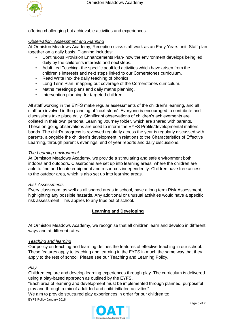

offering challenging but achievable activities and experiences.

## *Observation, Assessment and Planning*

At Ormiston Meadows Academy, Reception class staff work as an Early Years unit. Staff plan together on a daily basis. Planning includes:

- Continuous Provision Enhancements Plan- how the environment develops being led daily by the children's interests and next steps.
- Adult Led Teaching- the specific adult led activities which have arisen from the children's interests and next steps linked to our Cornerstones curriculum.
- Read Write Inc- the daily teaching of phonics.
- Long Term Plan- mapping out coverage of the Cornerstones curriculum.
- Maths meetings plans and daily maths planning.
- Intervention planning for targeted children.

All staff working in the EYFS make regular assessments of the children's learning, and all staff are involved in the planning of 'next steps'. Everyone is encouraged to contribute and discussions take place daily. Significant observations of children's achievements are collated in their own personal Learning Journey folder, which are shared with parents. These on-going observations are used to inform the EYFS Profile/developmental matters bands. The child's progress is reviewed regularly across the year is regularly discussed with parents, alongside the children's development in relations to the Characteristics of Effective Learning, through parent's evenings, end of year reports and daily discussions.

## *The Learning environment*

At Ormiston Meadows Academy, we provide a stimulating and safe environment both indoors and outdoors. Classrooms are set up into learning areas, where the children are able to find and locate equipment and resources independently. Children have free access to the outdoor area, which is also set up into learning areas.

### *Risk Assessments*

Every classroom, as well as all shared areas in school, have a long term Risk Assessment, highlighting any possible hazards. Any additional or unusual activities would have a specific risk assessment. This applies to any trips out of school.

## **Learning and Developing**

At Ormiston Meadows Academy, we recognise that all children learn and develop in different ways and at different rates.

### *Teaching and learning*

Our policy on teaching and learning defines the features of effective teaching in our school. These features apply to teaching and learning in the EYFS in much the same way that they apply to the rest of school. Please see our Teaching and Learning Policy.

### *Play*

Children explore and develop learning experiences through play. The curriculum is delivered using a play-based approach as outlined by the EYFS.

"Each area of learning and development must be implemented through planned, purposeful play and through a mix of adult-led and child-initiated activities"

We aim to provide structured play experiences in order for our children to:

EYFS Policy January 2018

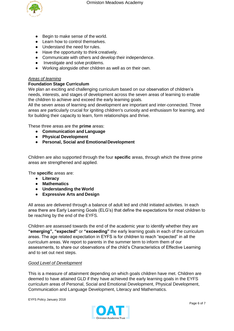

- Begin to make sense of the world.
- Learn how to control themselves.
- Understand the need for rules.
- Have the opportunity to think creatively.
- Communicate with others and develop their independence.
- Investigate and solve problems.
- Working alongside other children as well as on their own.

## *Areas of learning*

## **Foundation Stage Curriculum**

We plan an exciting and challenging curriculum based on our observation of children's needs, interests, and stages of development across the seven areas of learning to enable the children to achieve and exceed the early learning goals.

All the seven areas of learning and development are important and inter-connected. Three areas are particularly crucial for igniting children's curiosity and enthusiasm for learning, and for building their capacity to learn, form relationships and thrive.

These three areas are the **prime** areas:

- **Communication and Language**
- **Physical Development**
- **Personal, Social and EmotionalDevelopment**

Children are also supported through the four **specific** areas, through which the three prime areas are strengthened and applied.

The **specific** areas are:

- **Literacy**
- **Mathematics**
- **Understanding the World**
- **Expressive Arts and Design**

All areas are delivered through a balance of adult led and child initiated activities. In each area there are Early Learning Goals (ELG's) that define the expectations for most children to be reaching by the end of the EYFS.

Children are assessed towards the end of the academic year to identify whether they are **"emerging", "expected"** or **"exceeding"** the early learning goals in each of the curriculum areas. The age related expectation in EYFS is for children to reach "expected" in all the curriculum areas. We report to parents in the summer term to inform them of our assessments, to share our observations of the child's Characteristics of Effective Learning and to set out next steps.

### *Good Level of Development*

This is a measure of attainment depending on which goals children have met. Children are deemed to have attained GLD if they have achieved the early learning goals in the EYFS curriculum areas of Personal, Social and Emotional Development, Physical Development, Communication and Language Development, Literacy and Mathematics.

EYFS Policy January 2018